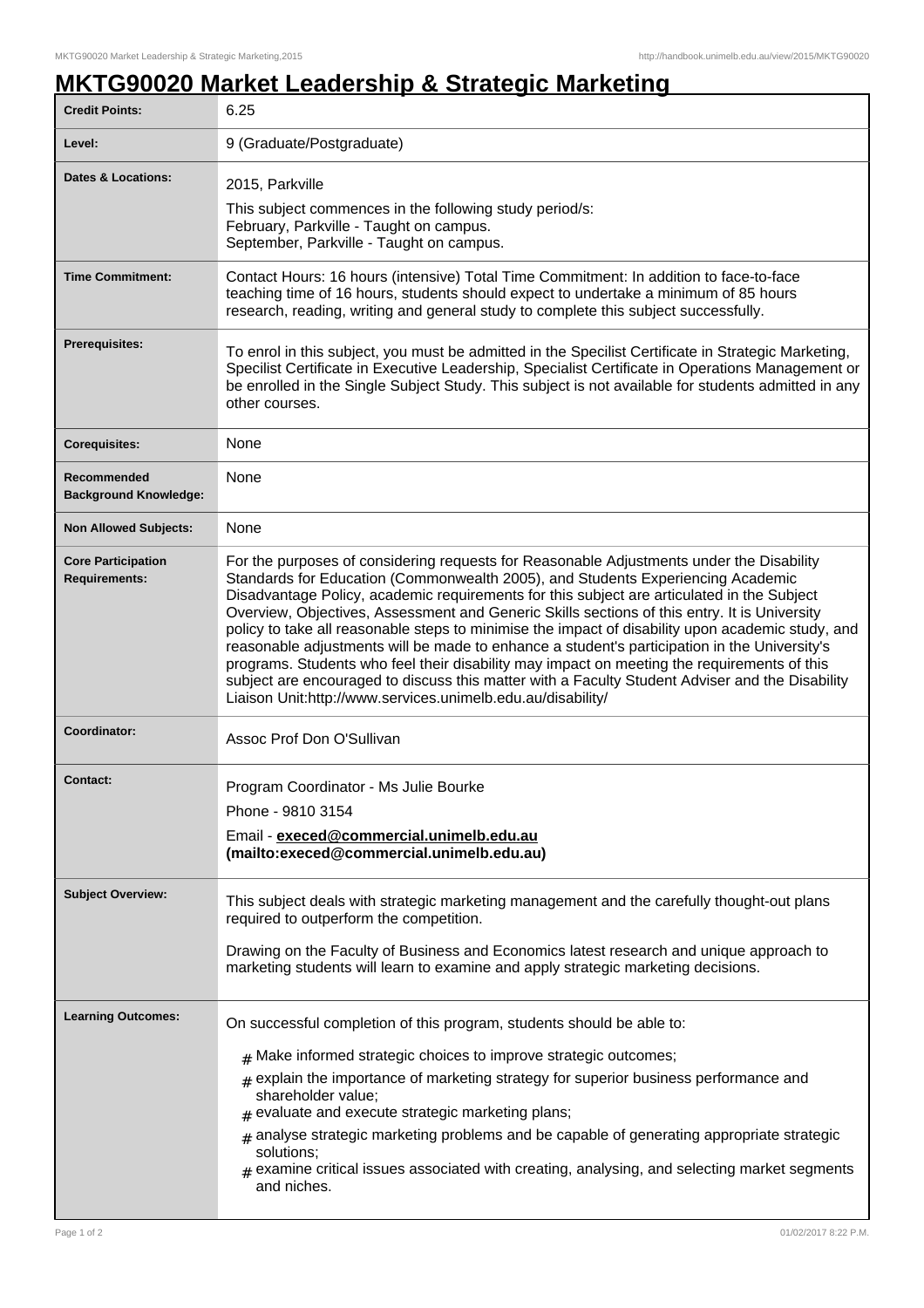## **MKTG90020 Market Leadership & Strategic Marketing**

| <b>Credit Points:</b>                             | 6.25                                                                                                                                                                                                                                                                                                                                                                                                                                                                                                                                                                                                                                                                                                                                                                                                                                            |
|---------------------------------------------------|-------------------------------------------------------------------------------------------------------------------------------------------------------------------------------------------------------------------------------------------------------------------------------------------------------------------------------------------------------------------------------------------------------------------------------------------------------------------------------------------------------------------------------------------------------------------------------------------------------------------------------------------------------------------------------------------------------------------------------------------------------------------------------------------------------------------------------------------------|
| Level:                                            | 9 (Graduate/Postgraduate)                                                                                                                                                                                                                                                                                                                                                                                                                                                                                                                                                                                                                                                                                                                                                                                                                       |
| <b>Dates &amp; Locations:</b>                     | 2015, Parkville<br>This subject commences in the following study period/s:                                                                                                                                                                                                                                                                                                                                                                                                                                                                                                                                                                                                                                                                                                                                                                      |
|                                                   | February, Parkville - Taught on campus.<br>September, Parkville - Taught on campus.                                                                                                                                                                                                                                                                                                                                                                                                                                                                                                                                                                                                                                                                                                                                                             |
| <b>Time Commitment:</b>                           | Contact Hours: 16 hours (intensive) Total Time Commitment: In addition to face-to-face<br>teaching time of 16 hours, students should expect to undertake a minimum of 85 hours<br>research, reading, writing and general study to complete this subject successfully.                                                                                                                                                                                                                                                                                                                                                                                                                                                                                                                                                                           |
| <b>Prerequisites:</b>                             | To enrol in this subject, you must be admitted in the Specilist Certificate in Strategic Marketing,<br>Specilist Certificate in Executive Leadership, Specialist Certificate in Operations Management or<br>be enrolled in the Single Subject Study. This subject is not available for students admitted in any<br>other courses.                                                                                                                                                                                                                                                                                                                                                                                                                                                                                                               |
| <b>Corequisites:</b>                              | None                                                                                                                                                                                                                                                                                                                                                                                                                                                                                                                                                                                                                                                                                                                                                                                                                                            |
| Recommended<br><b>Background Knowledge:</b>       | None                                                                                                                                                                                                                                                                                                                                                                                                                                                                                                                                                                                                                                                                                                                                                                                                                                            |
| <b>Non Allowed Subjects:</b>                      | None                                                                                                                                                                                                                                                                                                                                                                                                                                                                                                                                                                                                                                                                                                                                                                                                                                            |
| <b>Core Participation</b><br><b>Requirements:</b> | For the purposes of considering requests for Reasonable Adjustments under the Disability<br>Standards for Education (Commonwealth 2005), and Students Experiencing Academic<br>Disadvantage Policy, academic requirements for this subject are articulated in the Subject<br>Overview, Objectives, Assessment and Generic Skills sections of this entry. It is University<br>policy to take all reasonable steps to minimise the impact of disability upon academic study, and<br>reasonable adjustments will be made to enhance a student's participation in the University's<br>programs. Students who feel their disability may impact on meeting the requirements of this<br>subject are encouraged to discuss this matter with a Faculty Student Adviser and the Disability<br>Liaison Unit:http://www.services.unimelb.edu.au/disability/ |
| Coordinator:                                      | Assoc Prof Don O'Sullivan                                                                                                                                                                                                                                                                                                                                                                                                                                                                                                                                                                                                                                                                                                                                                                                                                       |
| Contact:                                          | Program Coordinator - Ms Julie Bourke<br>Phone - 9810 3154<br>Email - execed@commercial.unimelb.edu.au<br>(mailto:execed@commercial.unimelb.edu.au)                                                                                                                                                                                                                                                                                                                                                                                                                                                                                                                                                                                                                                                                                             |
| <b>Subject Overview:</b>                          | This subject deals with strategic marketing management and the carefully thought-out plans<br>required to outperform the competition.<br>Drawing on the Faculty of Business and Economics latest research and unique approach to<br>marketing students will learn to examine and apply strategic marketing decisions.                                                                                                                                                                                                                                                                                                                                                                                                                                                                                                                           |
| <b>Learning Outcomes:</b>                         | On successful completion of this program, students should be able to:<br>$#$ Make informed strategic choices to improve strategic outcomes;<br>$*$ explain the importance of marketing strategy for superior business performance and<br>shareholder value;<br>$#$ evaluate and execute strategic marketing plans;<br>$_{\#}$ analyse strategic marketing problems and be capable of generating appropriate strategic<br>solutions;<br>$#$ examine critical issues associated with creating, analysing, and selecting market segments<br>and niches.                                                                                                                                                                                                                                                                                            |